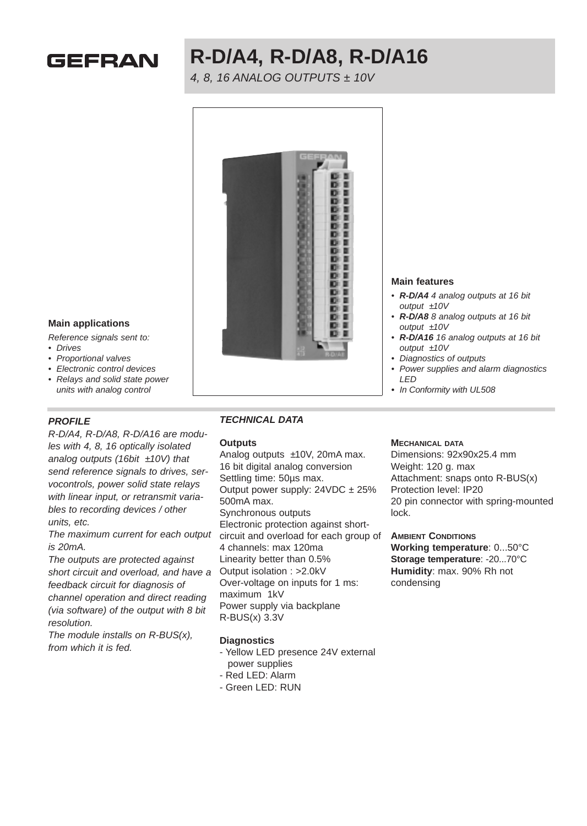

# **R-D/A4, R-D/A8, R-D/A16**

4, 8, 16 ANALOG OUTPUTS  $± 10V$ 



#### **Main applications**

Reference signals sent to:

- Drives
- Proportional valves
- Electronic control devices
- Relays and solid state power units with analog control

#### **PROFILE**

R-D/A4, R-D/A8, R-D/A16 are modules with 4, 8, 16 optically isolated analog outputs (16bit  $±10V$ ) that send reference signals to drives, servocontrols, power solid state relays with linear input, or retransmit variables to recording devices / other units, etc.

The maximum current for each output is 20mA.

The outputs are protected against short circuit and overload, and have a feedback circuit for diagnosis of channel operation and direct reading (via software) of the output with 8 bit resolution.

The module installs on R-BUS(x), from which it is fed.

#### **TECHNICAL DATA**

#### **Outputs**

Analog outputs ±10V, 20mA max. 16 bit digital analog conversion Settling time: 50µs max. Output power supply:  $24VDC \pm 25\%$ 500mA max. Synchronous outputs Electronic protection against shortcircuit and overload for each group of 4 channels: max 120ma Linearity better than 0.5% Output isolation : >2.0kV Over-voltage on inputs for 1 ms: maximum 1kV Power supply via backplane R-BUS(x) 3.3V

## **Diagnostics**

- Yellow LED presence 24V external power supplies
- Red LED: Alarm
- Green LED: RUN

#### **Main features**

- **R-D/A4** 4 analog outputs at 16 bit output ±10V
- **R-D/A8** 8 analog outputs at 16 bit output ±10V
- **R-D/A16** 16 analog outputs at 16 bit output ±10V
- Diagnostics of outputs
- Power supplies and alarm diagnostics LED
- **•** In Conformity with UL508

#### **MECHANICAL DATA**

Dimensions: 92x90x25.4 mm Weight: 120 g. max Attachment: snaps onto R-BUS(x) Protection level: IP20 20 pin connector with spring-mounted lock.

#### **AMBIENT CONDITIONS**

**Working temperature**: 0...50°C **Storage temperature**: -20...70°C **Humidity**: max. 90% Rh not condensing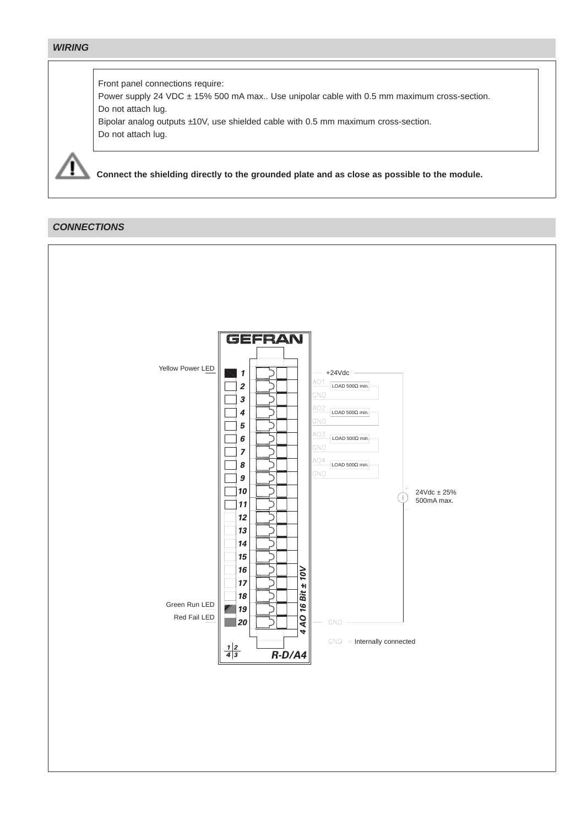### **WIRING**

Front panel connections require: Power supply 24 VDC ± 15% 500 mA max.. Use unipolar cable with 0.5 mm maximum cross-section. Do not attach lug. Bipolar analog outputs ±10V, use shielded cable with 0.5 mm maximum cross-section. Do not attach lug.

**Connect the shielding directly to the grounded plate and as close as possible to the module.**

## **CONNECTIONS**

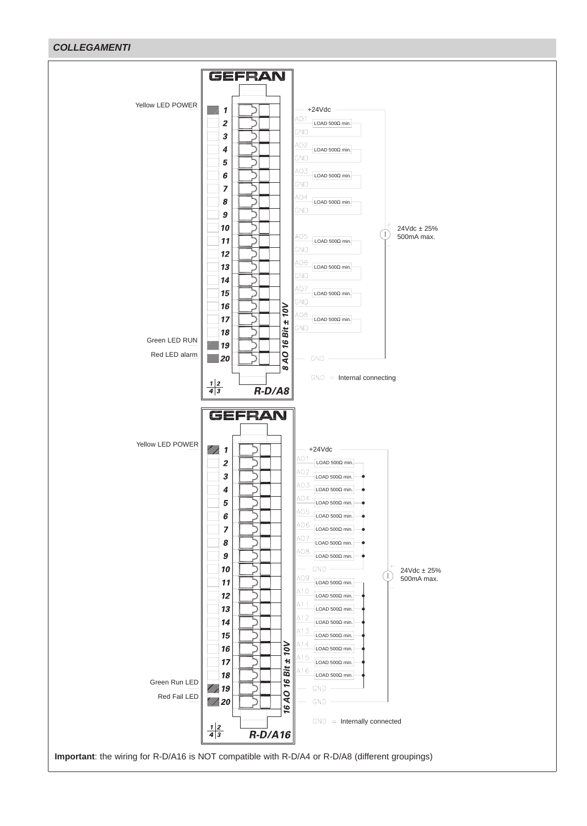## **COLLEGAMENTI**